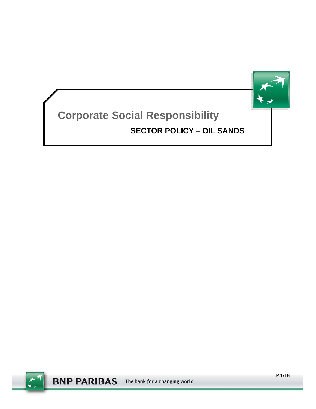

# **Corporate Social Responsibility SECTOR POLICY – OIL SANDS**

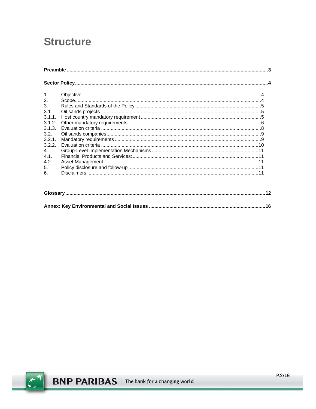# **Structure**

| 1.             |  |  |  |
|----------------|--|--|--|
| 2.             |  |  |  |
| 3.             |  |  |  |
| 3.1.           |  |  |  |
| 3.1.1.         |  |  |  |
| 3.1.2.         |  |  |  |
| 3.1.3.         |  |  |  |
| 3.2.           |  |  |  |
| 3.2.1          |  |  |  |
| 3.2.2          |  |  |  |
| 4 <sub>1</sub> |  |  |  |
| 4.1            |  |  |  |
| 4.2.           |  |  |  |
| 5.             |  |  |  |
| 6              |  |  |  |

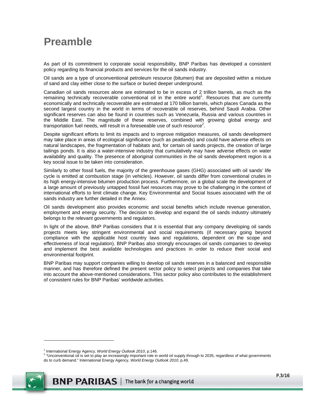# **Preamble**

As part of its commitment to corporate social responsibility, BNP Paribas has developed a consistent policy regarding its financial products and services for the oil sands industry.

Oil sands are a type of unconventional petroleum resource (bitumen) that are deposited within a mixture of sand and clay either close to the surface or buried deeper underground.

Canadian oil sands resources alone are estimated to be in excess of 2 trillion barrels, as much as the remaining technically recoverable conventional oil in the entire world<sup>1</sup>. Resources that are currently economically and technically recoverable are estimated at 170 billion barrels, which places Canada as the second largest country in the world in terms of recoverable oil reserves, behind Saudi Arabia. Other significant reserves can also be found in countries such as Venezuela, Russia and various countries in the Middle East. The magnitude of these reserves, combined with growing global energy and transportation fuel needs, will result in a foreseeable use of such resource<sup>2</sup>.

Despite significant efforts to limit its impacts and to improve mitigation measures, oil sands development may take place in areas of ecological significance (such as peatlands) and could have adverse effects on natural landscapes, the fragmentation of habitats and, for certain oil sands projects, the creation of large tailings ponds. It is also a water-intensive industry that cumulatively may have adverse effects on water availability and quality. The presence of aboriginal communities in the oil sands development region is a key social issue to be taken into consideration.

Similarly to other fossil fuels, the majority of the greenhouse gases (GHG) associated with oil sands' life cycle is emitted at combustion stage (in vehicles). However, oil sands differ from conventional crudes in its high energy-intensive bitumen production process. Furthermore, on a global scale the development of a large amount of previously untapped fossil fuel resources may prove to be challenging in the context of international efforts to limit climate change. Key Environmental and Social Issues associated with the oil sands industry are further detailed in the Annex.

Oil sands development also provides economic and social benefits which include revenue generation, employment and energy security. The decision to develop and expand the oil sands industry ultimately belongs to the relevant governments and regulators.

In light of the above, BNP Paribas considers that it is essential that any company developing oil sands projects meets key stringent environmental and social requirements (if necessary going beyond compliance with the applicable host country laws and regulations, dependent on the scope and effectiveness of local regulation). BNP Paribas also strongly encourages oil sands companies to develop and implement the best available technologies and practices in order to reduce their social and environmental footprint.

BNP Paribas may support companies willing to develop oil sands reserves in a balanced and responsible manner, and has therefore defined the present sector policy to select projects and companies that take into account the above-mentioned considerations. This sector policy also contributes to the establishment of consistent rules for BNP Paribas' worldwide activities.

<sup>&</sup>lt;sup>2</sup> "Unconventional oil is set to play an increasingly important role in world oil supply through to 2035, regardless of what governments do to curb demand." International Energy Agency, *World Energy Outlook 2010*, p.49.



<sup>&</sup>lt;sup>1</sup> International Energy Agency, *World Energy Outlook 2010*, p.146.<br><sup>2 "I</sup> Inconventional eil is est to play an increasingly important relation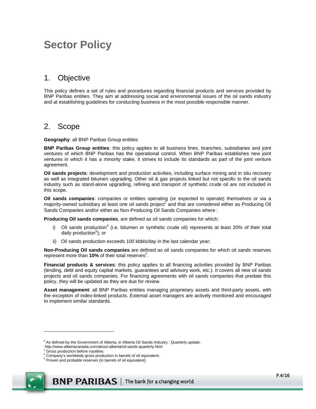# **Sector Policy**

### 1. Objective

This policy defines a set of rules and procedures regarding financial products and services provided by BNP Paribas entities. They aim at addressing social and environmental issues of the oil sands industry and at establishing guidelines for conducting business in the most possible responsible manner.

### 2. Scope

#### **Geography**: all BNP Paribas Group entities

**BNP Paribas Group entities**: this policy applies to all business lines, branches, subsidiaries and joint ventures of which BNP Paribas has the operational control. When BNP Paribas establishes new joint ventures in which it has a minority stake, it strives to include its standards as part of the joint venture agreement.

**Oil sands projects**: development and production activities, including surface mining and in situ recovery as well as integrated bitumen upgrading. Other oil & gas projects linked but not specific to the oil sands industry such as stand-alone upgrading, refining and transport of synthetic crude oil are not included in this scope.

**Oil sands companies**: companies or entities operating (or expected to operate) themselves or via a majority-owned subsidiary at least one oil sands project<sup>3</sup> and that are considered either as Producing Oil Sands Companies and/or either as Non-Producing Oil Sands Companies where :

**Producing Oil sands companies**, are defined as oil sands companies for which:

- i) Oil sands production<sup>4</sup> (i.e. bitumen or synthetic crude oil) represents at least 20% of their total daily production<sup>5</sup>); or
- ii) Oil sands production exceeds 100 kbbls/day in the last calendar year;

**Non-Producing Oil sands companies** are defined as oil sands companies for which oil sands reserves represent more than 10% of their total reserves<sup>6</sup>.

**Financial products & services**: this policy applies to all financing activities provided by BNP Paribas (lending, debt and equity capital markets, guarantees and advisory work, etc.). It covers all new oil sands projects and oil sands companies. For financing agreements with oil sands companies that predate this policy, they will be updated as they are due for review.

**Asset management**: all BNP Paribas entities managing proprietary assets and third-party assets, with the exception of index-linked products. External asset managers are actively monitored and encouraged to implement similar standards.

<sup>&</sup>lt;sup>6</sup> Proven and probable reserves (in barrels of oil equivalent)



 $3$  As defined by the Government of Alberta, in Alberta Oil Sands Industry : Quarterly update.

http://www.albertacanada.com/about-alberta/oil-sands-quarterly.html 4 Gross production before royalties.

<sup>&</sup>lt;sup>5</sup> Company's worldwide gross production in barrels of oil equivalent.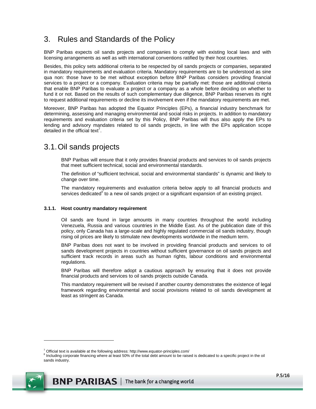## 3. Rules and Standards of the Policy

BNP Paribas expects oil sands projects and companies to comply with existing local laws and with licensing arrangements as well as with international conventions ratified by their host countries.

Besides, this policy sets additional criteria to be respected by oil sands projects or companies, separated in mandatory requirements and evaluation criteria. Mandatory requirements are to be understood as sine qua non: those have to be met without exception before BNP Paribas considers providing financial services to a project or a company. Evaluation criteria may be partially met: those are additional criteria that enable BNP Paribas to evaluate a project or a company as a whole before deciding on whether to fund it or not. Based on the results of such complementary due diligence, BNP Paribas reserves its right to request additional requirements or decline its involvement even if the mandatory requirements are met.

Moreover, BNP Paribas has adopted the Equator Principles (EPs), a financial industry benchmark for determining, assessing and managing environmental and social risks in projects. In addition to mandatory requirements and evaluation criteria set by this Policy, BNP Paribas will thus also apply the EPs to lending and advisory mandates related to oil sands projects, in line with the EPs application scope detailed in the official text<sup>7</sup>.

## 3.1. Oil sands projects

BNP Paribas will ensure that it only provides financial products and services to oil sands projects that meet sufficient technical, social and environmental standards.

The definition of "sufficient technical, social and environmental standards" is dynamic and likely to change over time.

The mandatory requirements and evaluation criteria below apply to all financial products and services dedicated $^8$  to a new oil sands project or a significant expansion of an existing project.

#### **3.1.1. Host country mandatory requirement**

Oil sands are found in large amounts in many countries throughout the world including Venezuela, Russia and various countries in the Middle East. As of the publication date of this policy, only Canada has a large-scale and highly regulated commercial oil sands industry, though rising oil prices are likely to stimulate new developments worldwide in the medium term.

BNP Paribas does not want to be involved in providing financial products and services to oil sands development projects in countries without sufficient governance on oil sands projects and sufficient track records in areas such as human rights, labour conditions and environmental regulations.

BNP Paribas will therefore adopt a cautious approach by ensuring that it does not provide financial products and services to oil sands projects outside Canada.

This mandatory requirement will be revised if another country demonstrates the existence of legal framework regarding environmental and social provisions related to oil sands development at least as stringent as Canada.

<sup>&</sup>lt;sup>8</sup> Including corporate financing where at least 50% of the total debt amount to be raised is dedicated to a specific project in the oil sands industry.



 $7$  Official text is available at the following address: http://www.equator-principles.com/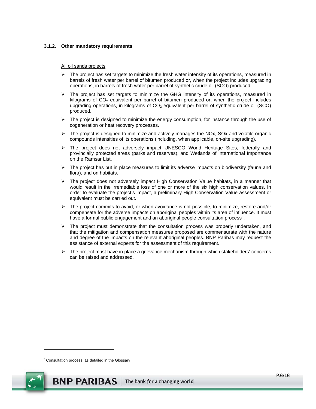#### **3.1.2. Other mandatory requirements**

All oil sands projects:

- $\triangleright$  The project has set targets to minimize the fresh water intensity of its operations, measured in barrels of fresh water per barrel of bitumen produced or, when the project includes upgrading operations, in barrels of fresh water per barrel of synthetic crude oil (SCO) produced.
- $\triangleright$  The project has set targets to minimize the GHG intensity of its operations, measured in kilograms of  $CO<sub>2</sub>$  equivalent per barrel of bitumen produced or, when the project includes upgrading operations, in kilograms of  $CO<sub>2</sub>$  equivalent per barrel of synthetic crude oil (SCO) produced.
- $\triangleright$  The project is designed to minimize the energy consumption, for instance through the use of cogeneration or heat recovery processes.
- $\triangleright$  The project is designed to minimize and actively manages the NOx, SOx and volatile organic compounds intensities of its operations (including, when applicable, on-site upgrading).
- $\triangleright$  The project does not adversely impact UNESCO World Heritage Sites, federally and provincially protected areas (parks and reserves), and Wetlands of International Importance on the Ramsar List.
- $\triangleright$  The project has put in place measures to limit its adverse impacts on biodiversity (fauna and flora), and on habitats.
- $\triangleright$  The project does not adversely impact High Conservation Value habitats, in a manner that would result in the irremediable loss of one or more of the six high conservation values. In order to evaluate the project's impact, a preliminary High Conservation Value assessment or equivalent must be carried out.
- $\triangleright$  The project commits to avoid, or when avoidance is not possible, to minimize, restore and/or compensate for the adverse impacts on aboriginal peoples within its area of influence. It must have a formal public engagement and an aboriginal people consultation process<sup>9</sup>.
- $\triangleright$  The project must demonstrate that the consultation process was properly undertaken, and that the mitigation and compensation measures proposed are commensurate with the nature and degree of the impacts on the relevant aboriginal peoples. BNP Paribas may request the assistance of external experts for the assessment of this requirement.
- $\triangleright$  The project must have in place a grievance mechanism through which stakeholders' concerns can be raised and addressed.

<sup>&</sup>lt;sup>9</sup> Consultation process, as detailed in the Glossary

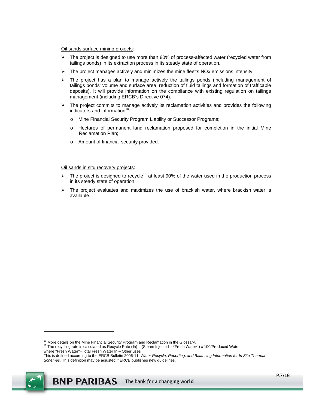Oil sands surface mining projects:

- $\triangleright$  The project is designed to use more than 80% of process-affected water (recycled water from tailings ponds) in its extraction process in its steady state of operation.
- The project manages actively and minimizes the mine fleet's NOx emissions intensity.
- $\triangleright$  The project has a plan to manage actively the tailings ponds (including management of tailings ponds' volume and surface area, reduction of fluid tailings and formation of trafficable deposits). It will provide information on the compliance with existing regulation on tailings management (including ERCB's Directive 074).
- $\triangleright$  The project commits to manage actively its reclamation activities and provides the following indicators and information $10$ :
	- o Mine Financial Security Program Liability or Successor Programs;
	- o Hectares of permanent land reclamation proposed for completion in the initial Mine Reclamation Plan;
	- o Amount of financial security provided.

Oil sands in situ recovery projects:

- $\triangleright$  The project is designed to recycle<sup>11</sup> at least 90% of the water used in the production process in its steady state of operation.
- $\triangleright$  The project evaluates and maximizes the use of brackish water, where brackish water is available.

This is defined according to the ERCB Bulletin 2006-11, *Water Recycle, Reporting, and Balancing Information for In Situ Thermal Schemes.* This definition may be adjusted if ERCB publishes new guidelines.



<sup>&</sup>lt;sup>10</sup> More details on the Mine Financial Security Program and Reclamation in the Glossary.<br><sup>11</sup> The recycling rate is calculated as Recycle Rate (%) = (Steam Injected – \*Fresh Water\*) x 100/Produced Water where \*Fresh Water\*=Total Fresh Water In – Other uses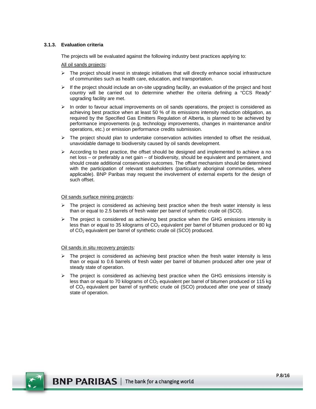#### **3.1.3. Evaluation criteria**

The projects will be evaluated against the following industry best practices applying to:

#### All oil sands projects:

- $\triangleright$  The project should invest in strategic initiatives that will directly enhance social infrastructure of communities such as health care, education, and transportation.
- $\triangleright$  If the project should include an on-site upgrading facility, an evaluation of the project and host country will be carried out to determine whether the criteria defining a "CCS Ready" upgrading facility are met.
- $\triangleright$  In order to favour actual improvements on oil sands operations, the project is considered as achieving best practice when at least 50 % of its emissions intensity reduction obligation, as required by the Specified Gas Emitters Regulation of Alberta, is planned to be achieved by performance improvements (e.g. technology improvements, changes in maintenance and/or operations, etc.) or emission performance credits submission.
- $\triangleright$  The project should plan to undertake conservation activities intended to offset the residual, unavoidable damage to biodiversity caused by oil sands development.
- $\triangleright$  According to best practice, the offset should be designed and implemented to achieve a no net loss – or preferably a net gain – of biodiversity, should be equivalent and permanent, and should create additional conservation outcomes. The offset mechanism should be determined with the participation of relevant stakeholders (particularly aboriginal communities, where applicable). BNP Paribas may request the involvement of external experts for the design of such offset.

#### Oil sands surface mining projects:

- $\triangleright$  The project is considered as achieving best practice when the fresh water intensity is less than or equal to 2.5 barrels of fresh water per barrel of synthetic crude oil (SCO).
- $\triangleright$  The project is considered as achieving best practice when the GHG emissions intensity is less than or equal to 35 kilograms of  $CO<sub>2</sub>$  equivalent per barrel of bitumen produced or 80 kg of CO2 equivalent per barrel of synthetic crude oil (SCO) produced.

#### Oil sands in situ recovery projects:

- The project is considered as achieving best practice when the fresh water intensity is less than or equal to 0.6 barrels of fresh water per barrel of bitumen produced after one year of steady state of operation.
- $\triangleright$  The project is considered as achieving best practice when the GHG emissions intensity is less than or equal to 70 kilograms of  $CO<sub>2</sub>$  equivalent per barrel of bitumen produced or 115 kg of CO2 equivalent per barrel of synthetic crude oil (SCO) produced after one year of steady state of operation.

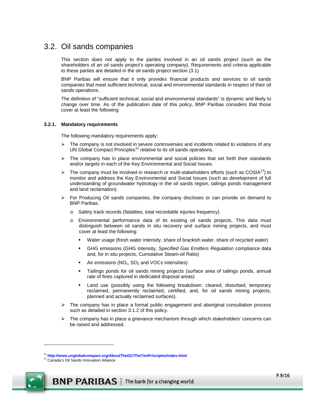## 3.2. Oil sands companies

This section does not apply to the parties involved in an oil sands project (such as the shareholders of an oil sands project's operating company). Requirements and criteria applicable to these parties are detailed in the oil sands project section (3.1)

BNP Paribas will ensure that it only provides financial products and services to oil sands companies that meet sufficient technical, social and environmental standards in respect of their oil sands operations.

The definition of "sufficient technical, social and environmental standards" is dynamic and likely to change over time. As of the publication date of this policy, BNP Paribas considers that those cover at least the following:

#### **3.2.1. Mandatory requirements**

The following mandatory requirements apply:

- $\triangleright$  The company is not involved in severe controversies and incidents related to violations of any UN Global Compact Principles<sup>12</sup> relative to its oil sands operations.
- The company has in place environmental and social policies that set forth their standards and/or targets in each of the Key Environmental and Social Issues.
- $\triangleright$  The company must be involved in research or multi-stakeholders efforts (such as COSIA<sup>13</sup>) to monitor and address the Key Environmental and Social Issues (such as development of full understanding of groundwater hydrology in the oil sands region, tailings ponds management and land reclamation).
- For Producing Oil sands companies, the company discloses or can provide on demand to BNP Paribas:
	- o Safety track records (fatalities, total recordable injuries frequency)
	- o Environmental performance data of its existing oil sands projects. This data must distinguish between oil sands in situ recovery and surface mining projects, and must cover at least the following:
		- Water usage (fresh water intensity, share of brackish water, share of recycled water)
		- GHG emissions (GHG intensity, *Specified Gas Emitters Regulation* compliance data and, for in situ projects, Cumulative Steam-oil Ratio)
		- Air emissions ( $NO<sub>x</sub>$ ,  $SO<sub>2</sub>$  and VOCs intensities)
		- Tailings ponds for oil sands mining projects (surface area of tailings ponds, annual rate of fines captured in dedicated disposal areas)
		- Land use (possibly using the following breakdown: cleared, disturbed, temporary reclaimed, permanently reclaimed, certified, and, for oil sands mining projects, planned and actually reclaimed surfaces).
- $\triangleright$  The company has in place a formal public engagement and aboriginal consultation process such as detailed in section 3.1.2 of this policy.
- $\triangleright$  The company has in place a grievance mechanism through which stakeholders' concerns can be raised and addressed.



<sup>12</sup> **http://www.unglobalcompact.org/AboutTheGC/TheTenPrinciples/index.html** 13 Canada's Oil Sands Innovation Alliance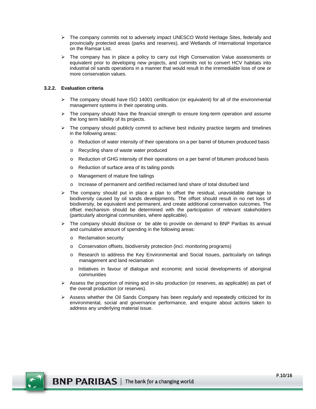- $\triangleright$  The company commits not to adversely impact UNESCO World Heritage Sites, federally and provincially protected areas (parks and reserves), and Wetlands of International Importance on the Ramsar List.
- $\triangleright$  The company has in place a policy to carry out High Conservation Value assessments or equivalent prior to developing new projects, and commits not to convert HCV habitats into industrial oil sands operations in a manner that would result in the irremediable loss of one or more conservation values.

#### **3.2.2. Evaluation criteria**

- $\triangleright$  The company should have ISO 14001 certification (or equivalent) for all of the environmental management systems in their operating units.
- $\triangleright$  The company should have the financial strength to ensure long-term operation and assume the long term liability of its projects.
- $\triangleright$  The company should publicly commit to achieve best industry practice targets and timelines in the following areas:
	- o Reduction of water intensity of their operations on a per barrel of bitumen produced basis
	- o Recycling share of waste water produced
	- o Reduction of GHG intensity of their operations on a per barrel of bitumen produced basis
	- o Reduction of surface area of its tailing ponds
	- o Management of mature fine tailings
	- o Increase of permanent and certified reclaimed land share of total disturbed land
- The company should put in place a plan to offset the residual, unavoidable damage to biodiversity caused by oil sands developments. The offset should result in no net loss of biodiversity, be equivalent and permanent, and create additional conservation outcomes. The offset mechanism should be determined with the participation of relevant stakeholders (particularly aboriginal communities, where applicable).
- The company should disclose or be able to provide on demand to BNP Paribas its annual and cumulative amount of spending in the following areas:
	- o Reclamation security
	- o Conservation offsets, biodiversity protection (incl. monitoring programs)
	- o Research to address the Key Environmental and Social Issues, particularly on tailings management and land reclamation
	- o Initiatives in favour of dialogue and economic and social developments of aboriginal communities
- $\triangleright$  Assess the proportion of mining and in-situ production (or reserves, as applicable) as part of the overall production (or reserves).
- $\triangleright$  Assess whether the Oil Sands Company has been regularly and repeatedly criticized for its environmental, social and governance performance, and enquire about actions taken to address any underlying material issue.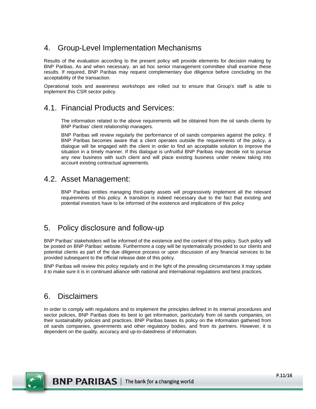## 4. Group-Level Implementation Mechanisms

Results of the evaluation according to the present policy will provide elements for decision making by BNP Paribas. As and when necessary, an ad hoc senior management committee shall examine these results. If required, BNP Paribas may request complementary due diligence before concluding on the acceptability of the transaction.

Operational tools and awareness workshops are rolled out to ensure that Group's staff is able to implement this CSR sector policy.

### 4.1. Financial Products and Services:

The information related to the above requirements will be obtained from the oil sands clients by BNP Paribas' client relationship managers.

BNP Paribas will review regularly the performance of oil sands companies against the policy. If BNP Paribas becomes aware that a client operates outside the requirements of the policy, a dialogue will be engaged with the client in order to find an acceptable solution to improve the situation in a timely manner. If this dialogue is unfruitful BNP Paribas may decide not to pursue any new business with such client and will place existing business under review taking into account existing contractual agreements.

### 4.2. Asset Management:

BNP Paribas entities managing third-party assets will progressively implement all the relevant requirements of this policy. A transition is indeed necessary due to the fact that existing and potential investors have to be informed of the existence and implications of this policy

### 5. Policy disclosure and follow-up

BNP Paribas' stakeholders will be informed of the existence and the content of this policy. Such policy will be posted on BNP Paribas' website. Furthermore a copy will be systematically provided to our clients and potential clients as part of the due diligence process or upon discussion of any financial services to be provided subsequent to the official release date of this policy.

BNP Paribas will review this policy regularly and in the light of the prevailing circumstances it may update it to make sure it is in continued alliance with national and international regulations and best practices.

## 6. Disclaimers

In order to comply with regulations and to implement the principles defined in its internal procedures and sector policies, BNP Paribas does its best to get information, particularly from oil sands companies, on their sustainability policies and practices. BNP Paribas bases its policy on the information gathered from oil sands companies, governments and other regulatory bodies, and from its partners. However, it is dependent on the quality, accuracy and up-to-datedness of information.

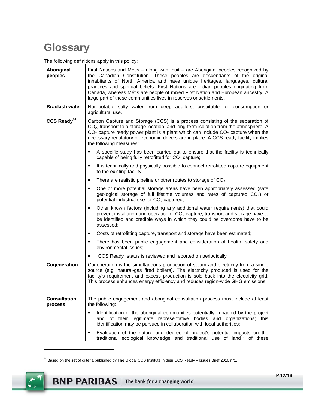# **Glossary**

The following definitions apply in this policy:

| Aboriginal<br>peoples          | First Nations and Métis - along with Inuit - are Aboriginal peoples recognized by<br>the Canadian Constitution. These peoples are descendants of the original<br>inhabitants of North America and have unique heritages, languages, cultural<br>practices and spiritual beliefs. First Nations are Indian peoples originating from<br>Canada, whereas Métis are people of mixed First Nation and European ancestry. A<br>large part of these communities lives in reserves or settlements. |
|--------------------------------|--------------------------------------------------------------------------------------------------------------------------------------------------------------------------------------------------------------------------------------------------------------------------------------------------------------------------------------------------------------------------------------------------------------------------------------------------------------------------------------------|
| <b>Brackish water</b>          | Non-potable salty water from deep aquifers, unsuitable for consumption or<br>agricultural use.                                                                                                                                                                                                                                                                                                                                                                                             |
| CCS Ready <sup>14</sup>        | Carbon Capture and Storage (CCS) is a process consisting of the separation of<br>$CO2$ , transport to a storage location, and long-term isolation from the atmosphere. A<br>$CO2$ capture ready power plant is a plant which can include $CO2$ capture when the<br>necessary regulatory or economic drivers are in place. A CCS ready facility implies<br>the following measures:                                                                                                          |
|                                | A specific study has been carried out to ensure that the facility is technically<br>capable of being fully retrofitted for CO <sub>2</sub> capture;                                                                                                                                                                                                                                                                                                                                        |
|                                | It is technically and physically possible to connect retrofitted capture equipment<br>٠<br>to the existing facility;                                                                                                                                                                                                                                                                                                                                                                       |
|                                | There are realistic pipeline or other routes to storage of $CO2$ ;<br>٠                                                                                                                                                                                                                                                                                                                                                                                                                    |
|                                | One or more potential storage areas have been appropriately assessed (safe<br>٠<br>geological storage of full lifetime volumes and rates of captured $CO2$ ) or<br>potential industrial use for CO <sub>2</sub> captured;                                                                                                                                                                                                                                                                  |
|                                | Other known factors (including any additional water requirements) that could<br>٠<br>prevent installation and operation of $CO2$ capture, transport and storage have to<br>be identified and credible ways in which they could be overcome have to be<br>assessed;                                                                                                                                                                                                                         |
|                                | Costs of retrofitting capture, transport and storage have been estimated;<br>٠                                                                                                                                                                                                                                                                                                                                                                                                             |
|                                | There has been public engagement and consideration of health, safety and<br>٠<br>environmental issues;                                                                                                                                                                                                                                                                                                                                                                                     |
|                                | "CCS Ready" status is reviewed and reported on periodically<br>٠                                                                                                                                                                                                                                                                                                                                                                                                                           |
| Cogeneration                   | Cogeneration is the simultaneous production of steam and electricity from a single<br>source (e.g. natural-gas fired boilers). The electricity produced is used for the<br>facility's requirement and excess production is sold back into the electricity grid.<br>This process enhances energy efficiency and reduces region-wide GHG emissions.                                                                                                                                          |
| <b>Consultation</b><br>process | The public engagement and aboriginal consultation process must include at least<br>the following:                                                                                                                                                                                                                                                                                                                                                                                          |
|                                | Identification of the aboriginal communities potentially impacted by the project<br>٠<br>and of their legitimate representative bodies and organizations; this<br>identification may be pursued in collaboration with local authorities;                                                                                                                                                                                                                                                   |
|                                | Evaluation of the nature and degree of project's potential impacts on the<br>٠<br>traditional ecological knowledge and traditional use of land <sup>15</sup> of these                                                                                                                                                                                                                                                                                                                      |

 $14$  Based on the set of criteria published by The Global CCS Institute in their CCS Ready – Issues Brief 2010 n°1.

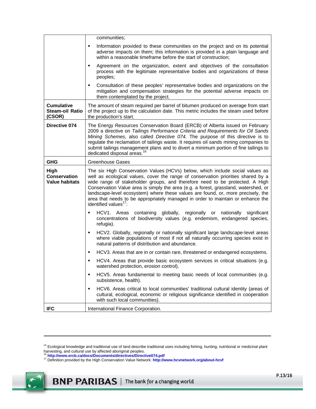|                                                       | communities:                                                                                                                                                                                                                                                                                                                                                                                                                                                                                                                                          |
|-------------------------------------------------------|-------------------------------------------------------------------------------------------------------------------------------------------------------------------------------------------------------------------------------------------------------------------------------------------------------------------------------------------------------------------------------------------------------------------------------------------------------------------------------------------------------------------------------------------------------|
|                                                       | Information provided to these communities on the project and on its potential<br>٠<br>adverse impacts on them; this information is provided in a plain language and<br>within a reasonable timeframe before the start of construction;                                                                                                                                                                                                                                                                                                                |
|                                                       | Agreement on the organization, extent and objectives of the consultation<br>process with the legitimate representative bodies and organizations of these<br>peoples;                                                                                                                                                                                                                                                                                                                                                                                  |
|                                                       | Consultation of these peoples' representative bodies and organizations on the<br>٠<br>mitigation and compensation strategies for the potential adverse impacts on<br>them contemplated by the project.                                                                                                                                                                                                                                                                                                                                                |
| <b>Cumulative</b><br><b>Steam-oil Ratio</b><br>(CSOR) | The amount of steam required per barrel of bitumen produced on average from start<br>of the project up to the calculation date. This metric includes the steam used before<br>the production's start.                                                                                                                                                                                                                                                                                                                                                 |
| Directive 074                                         | The Energy Resources Conservation Board (ERCB) of Alberta issued on February<br>2009 a directive on Tailings Performance Criteria and Requirements for Oil Sands<br>Mining Schemes, also called Directive 074. The purpose of this directive is to<br>regulate the reclamation of tailings waste. It requires oil sands mining companies to<br>submit tailings management plans and to divert a minimum portion of fine tailings to<br>dedicated disposal areas. <sup>16</sup>                                                                        |
| <b>GHG</b>                                            | <b>Greenhouse Gases</b>                                                                                                                                                                                                                                                                                                                                                                                                                                                                                                                               |
| High<br><b>Conservation</b><br><b>Value habitats</b>  | The six High Conservation Values (HCVs) below, which include social values as<br>well as ecological values, cover the range of conservation priorities shared by a<br>wide range of stakeholder groups, and therefore need to be protected. A High<br>Conservation Value area is simply the area (e.g. a forest, grassland, watershed, or<br>landscape-level ecosystem) where these values are found, or, more precisely, the<br>area that needs to be appropriately managed in order to maintain or enhance the<br>identified values <sup>17</sup> : |
|                                                       | HCV1. Areas containing globally, regionally or nationally<br>significant<br>concentrations of biodiversity values (e.g. endemism, endangered species,<br>refugia).                                                                                                                                                                                                                                                                                                                                                                                    |
|                                                       | HCV2. Globally, regionally or nationally significant large landscape-level areas<br>٠<br>where viable populations of most if not all naturally occurring species exist in<br>natural patterns of distribution and abundance.                                                                                                                                                                                                                                                                                                                          |
|                                                       | HCV3. Areas that are in or contain rare, threatened or endangered ecosystems.<br>٠                                                                                                                                                                                                                                                                                                                                                                                                                                                                    |
|                                                       | HCV4. Areas that provide basic ecosystem services in critical situations (e.g.<br>٠<br>watershed protection, erosion control).                                                                                                                                                                                                                                                                                                                                                                                                                        |
|                                                       | HCV5. Areas fundamental to meeting basic needs of local communities (e.g.<br>٠<br>subsistence, health).                                                                                                                                                                                                                                                                                                                                                                                                                                               |
|                                                       | HCV6. Areas critical to local communities' traditional cultural identity (areas of<br>٠<br>cultural, ecological, economic or religious significance identified in cooperation<br>with such local communities).                                                                                                                                                                                                                                                                                                                                        |
| <b>IFC</b>                                            | International Finance Corporation.                                                                                                                                                                                                                                                                                                                                                                                                                                                                                                                    |

harvesting, and cultural use by affected aboriginal peoples.<br><sup>16</sup> http:**//www.ercb.ca/docs/Documents/directives/Directive074.pdf**<br><sup>17</sup> Definition provided by the High Conservation Value Network: http:**//www.hcvnetwork.org/** 



<sup>&</sup>lt;sup>15</sup> Ecological knowledge and traditional use of land describe traditional uses including fishing, hunting, nutritional or medicinal plant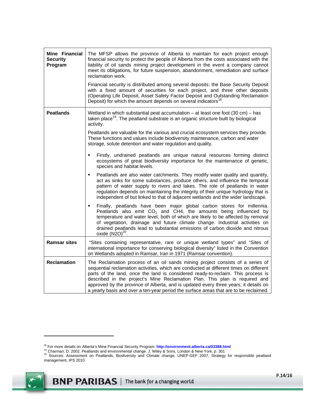| Mine Financial<br><b>Security</b><br>Program | The MFSP allows the province of Alberta to maintain for each project enough<br>financial security to protect the people of Alberta from the costs associated with the<br>liability of oil sands mining project development in the event a company cannot<br>meet its obligations, for future suspension, abandonment, remediation and surface<br>reclamation work.<br>Financial security is distributed among several deposits: the Base Security Deposit<br>with a fixed amount of securities for each project, and three other deposits<br>(Operating Life Deposit, Asset Safety Factor Deposit and Outstanding Reclamation<br>Deposit) for which the amount depends on several indicators <sup>18</sup> .                                                                                                                                                                                                                                                                                                                                                                                                                                                                                                                                                                                                                                                                                                                                                                                   |
|----------------------------------------------|------------------------------------------------------------------------------------------------------------------------------------------------------------------------------------------------------------------------------------------------------------------------------------------------------------------------------------------------------------------------------------------------------------------------------------------------------------------------------------------------------------------------------------------------------------------------------------------------------------------------------------------------------------------------------------------------------------------------------------------------------------------------------------------------------------------------------------------------------------------------------------------------------------------------------------------------------------------------------------------------------------------------------------------------------------------------------------------------------------------------------------------------------------------------------------------------------------------------------------------------------------------------------------------------------------------------------------------------------------------------------------------------------------------------------------------------------------------------------------------------|
| <b>Peatlands</b>                             | Wetland in which substantial peat accumulation - at least one foot (30 cm) - has<br>taken place <sup>19</sup> . The peatland substrate is an organic structure built by biological<br>activity.<br>Peatlands are valuable for the various and crucial ecosystem services they provide.<br>These functions and values include biodiversity maintenance, carbon and water<br>storage, solute detention and water regulation and quality.<br>Firstly, undrained peatlands are unique natural resources forming distinct<br>٠<br>ecosystems of great biodiversity importance for the maintenance of genetic,<br>species and habitat levels.<br>Peatlands are also water catchments. They modify water quality and quantity,<br>٠<br>act as sinks for some substances, produce others, and influence the temporal<br>pattern of water supply to rivers and lakes. The role of peatlands in water<br>regulation depends on maintaining the integrity of their unique hydrology that is<br>independent of but linked to that of adjacent wetlands and the wider landscape.<br>Finally, peatlands have been major global carbon stores for millennia.<br>Peatlands also emit $CO2$ and CH4, the amounts being influenced by<br>temperature and water level, both of which are likely to be affected by removal<br>of vegetation, drainage and future climate change. Industrial activities on<br>drained peatlands lead to substantial emissions of carbon dioxide and nitrous<br>oxide $(N2O)^{20}$ . |
| <b>Ramsar sites</b>                          | "Sites containing representative, rare or unique wetland types" and "Sites of<br>international importance for conserving biological diversity" listed in the Convention<br>on Wetlands adopted in Ramsar, Iran in 1971 (Ramsar convention).                                                                                                                                                                                                                                                                                                                                                                                                                                                                                                                                                                                                                                                                                                                                                                                                                                                                                                                                                                                                                                                                                                                                                                                                                                                    |
| <b>Reclamation</b>                           | The Reclamation process of an oil sands mining project consists of a series of<br>sequential reclamation activities, which are conducted at different times on different<br>parts of the land, once the land is considered ready-to-reclaim. This process is<br>described in the project's Mine Reclamation Plan. This plan is required and<br>approved by the province of Alberta, and is updated every three years; it details on<br>a yearly basis and over a ten-year period the surface areas that are to be reclaimed.                                                                                                                                                                                                                                                                                                                                                                                                                                                                                                                                                                                                                                                                                                                                                                                                                                                                                                                                                                   |

<sup>&</sup>lt;sup>18</sup> For more details on Alberta's Mine Financial Security Program: http://environment.alberta.ca/03388.html<br><sup>19</sup> Charman, D. 2002. Peatlands and environmental change. J. Wiley & Sons, London & New York, p. 301<br><sup>20</sup> Source management, IPS 2010

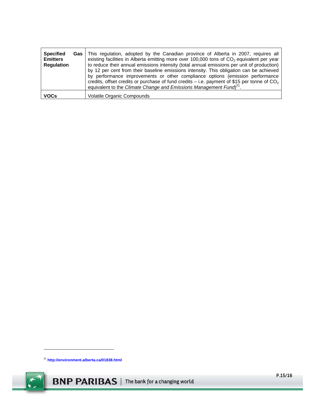| <b>Specified</b><br>Gas l<br><b>Emitters</b><br><b>Regulation</b> | This regulation, adopted by the Canadian province of Alberta in 2007, requires all<br>existing facilities in Alberta emitting more over 100,000 tons of $CO2$ equivalent per year<br>to reduce their annual emissions intensity (total annual emissions per unit of production)<br>by 12 per cent from their baseline emissions intensity. This obligation can be achieved<br>by performance improvements or other compliance options (emission performance<br>credits, offset credits or purchase of fund credits – i.e. payment of \$15 per tonne of $CO2$<br>equivalent to the Climate Change and Emissions Management Fund <sup>21</sup> . |
|-------------------------------------------------------------------|------------------------------------------------------------------------------------------------------------------------------------------------------------------------------------------------------------------------------------------------------------------------------------------------------------------------------------------------------------------------------------------------------------------------------------------------------------------------------------------------------------------------------------------------------------------------------------------------------------------------------------------------|
| <b>VOCs</b>                                                       | <b>Volatile Organic Compounds</b>                                                                                                                                                                                                                                                                                                                                                                                                                                                                                                                                                                                                              |

<sup>21</sup> **http://environment.alberta.ca/01838.html**